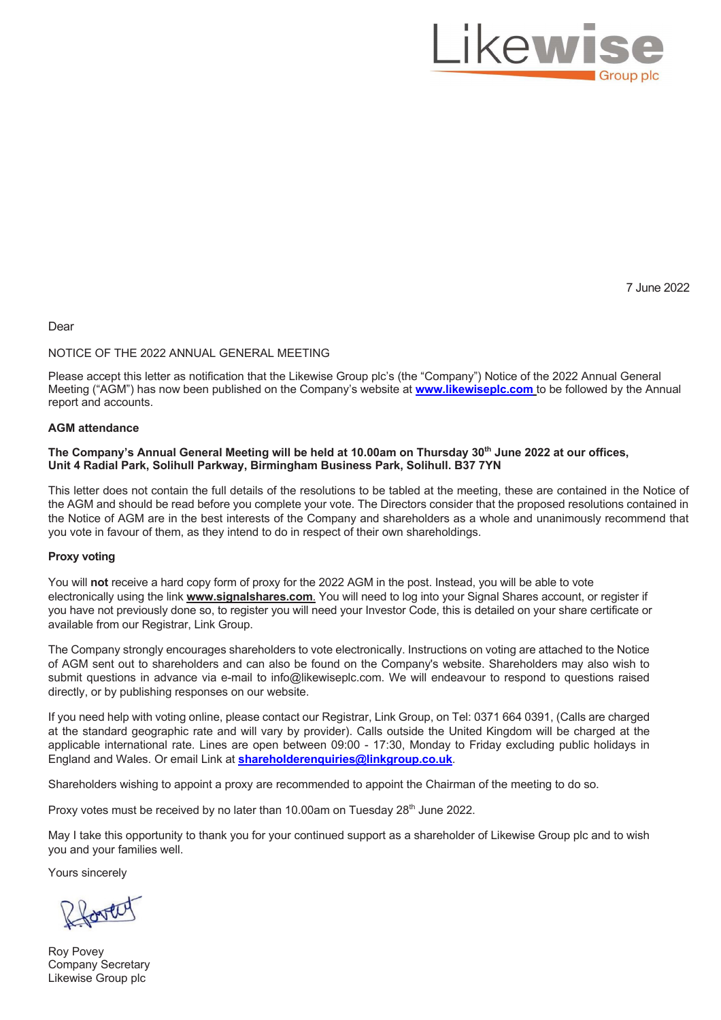

7 June 2022

## Dear

## NOTICE OF THE 2022 ANNUAL GENERAL MEETING

Please accept this letter as notification that the Likewise Group plc's (the "Company") Notice of the 2022 Annual General Meeting ("AGM") has now been published on the Company's website at **www.likewiseplc.com** to be followed by the Annual report and accounts.

## **AGM attendance**

### **The Company's Annual General Meeting will be held at 10.00am on Thursday 30th June 2022 at our offices, Unit 4 Radial Park, Solihull Parkway, Birmingham Business Park, Solihull. B37 7YN**

This letter does not contain the full details of the resolutions to be tabled at the meeting, these are contained in the Notice of the AGM and should be read before you complete your vote. The Directors consider that the proposed resolutions contained in the Notice of AGM are in the best interests of the Company and shareholders as a whole and unanimously recommend that you vote in favour of them, as they intend to do in respect of their own shareholdings.

#### **Proxy voting**

You will **not** receive a hard copy form of proxy for the 2022 AGM in the post. Instead, you will be able to vote electronically using the link **www.signalshares.com**. You will need to log into your Signal Shares account, or register if you have not previously done so, to register you will need your Investor Code, this is detailed on your share certificate or available from our Registrar, Link Group.

The Company strongly encourages shareholders to vote electronically. Instructions on voting are attached to the Notice of AGM sent out to shareholders and can also be found on the Company's website. Shareholders may also wish to submit questions in advance via e-mail to info@likewiseplc.com. We will endeavour to respond to questions raised directly, or by publishing responses on our website.

If you need help with voting online, please contact our Registrar, Link Group, on Tel: 0371 664 0391, (Calls are charged at the standard geographic rate and will vary by provider). Calls outside the United Kingdom will be charged at the applicable international rate. Lines are open between 09:00 - 17:30, Monday to Friday excluding public holidays in England and Wales. Or email Link at **shareholderenquiries@linkgroup.co.uk**.

Shareholders wishing to appoint a proxy are recommended to appoint the Chairman of the meeting to do so.

Proxy votes must be received by no later than 10.00am on Tuesday 28<sup>th</sup> June 2022.

May I take this opportunity to thank you for your continued support as a shareholder of Likewise Group plc and to wish you and your families well.

Yours sincerely

forted

Roy Povey Company Secretary Likewise Group plc